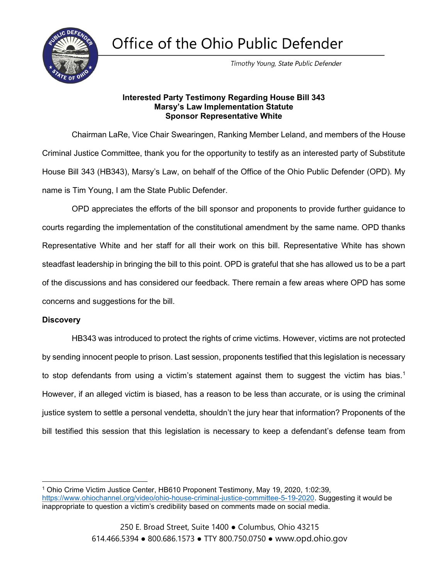Office of the Ohio Public Defender



Timothy Young, State Public Defender

#### Interested Party Testimony Regarding House Bill 343 Marsy's Law Implementation Statute Sponsor Representative White

 Chairman LaRe, Vice Chair Swearingen, Ranking Member Leland, and members of the House Criminal Justice Committee, thank you for the opportunity to testify as an interested party of Substitute House Bill 343 (HB343), Marsy's Law, on behalf of the Office of the Ohio Public Defender (OPD). My name is Tim Young, I am the State Public Defender.

 OPD appreciates the efforts of the bill sponsor and proponents to provide further guidance to courts regarding the implementation of the constitutional amendment by the same name. OPD thanks Representative White and her staff for all their work on this bill. Representative White has shown steadfast leadership in bringing the bill to this point. OPD is grateful that she has allowed us to be a part of the discussions and has considered our feedback. There remain a few areas where OPD has some concerns and suggestions for the bill.

### **Discovery**

 HB343 was introduced to protect the rights of crime victims. However, victims are not protected by sending innocent people to prison. Last session, proponents testified that this legislation is necessary to stop defendants from using a victim's statement against them to suggest the victim has bias.<sup>1</sup> However, if an alleged victim is biased, has a reason to be less than accurate, or is using the criminal justice system to settle a personal vendetta, shouldn't the jury hear that information? Proponents of the bill testified this session that this legislation is necessary to keep a defendant's defense team from

<sup>1</sup> Ohio Crime Victim Justice Center, HB610 Proponent Testimony, May 19, 2020, 1:02:39, https://www.ohiochannel.org/video/ohio-house-criminal-justice-committee-5-19-2020. Suggesting it would be inappropriate to question a victim's credibility based on comments made on social media.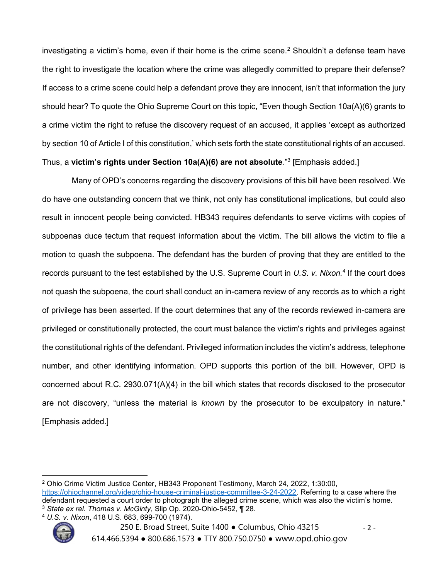investigating a victim's home, even if their home is the crime scene.<sup>2</sup> Shouldn't a defense team have the right to investigate the location where the crime was allegedly committed to prepare their defense? If access to a crime scene could help a defendant prove they are innocent, isn't that information the jury should hear? To quote the Ohio Supreme Court on this topic, "Even though Section 10a(A)(6) grants to a crime victim the right to refuse the discovery request of an accused, it applies 'except as authorized by section 10 of Article I of this constitution,' which sets forth the state constitutional rights of an accused.

# Thus, a victim's rights under Section 10a(A)(6) are not absolute."<sup>3</sup> [Emphasis added.]

 Many of OPD's concerns regarding the discovery provisions of this bill have been resolved. We do have one outstanding concern that we think, not only has constitutional implications, but could also result in innocent people being convicted. HB343 requires defendants to serve victims with copies of subpoenas duce tectum that request information about the victim. The bill allows the victim to file a motion to quash the subpoena. The defendant has the burden of proving that they are entitled to the records pursuant to the test established by the U.S. Supreme Court in U.S. v. Nixon.<sup>4</sup> If the court does not quash the subpoena, the court shall conduct an in-camera review of any records as to which a right of privilege has been asserted. If the court determines that any of the records reviewed in-camera are privileged or constitutionally protected, the court must balance the victim's rights and privileges against the constitutional rights of the defendant. Privileged information includes the victim's address, telephone number, and other identifying information. OPD supports this portion of the bill. However, OPD is concerned about R.C. 2930.071(A)(4) in the bill which states that records disclosed to the prosecutor are not discovery, "unless the material is known by the prosecutor to be exculpatory in nature." [Emphasis added.]

<sup>4</sup> U.S. v. Nixon, 418 U.S. 683, 699-700 (1974).



<sup>2</sup> Ohio Crime Victim Justice Center, HB343 Proponent Testimony, March 24, 2022, 1:30:00, https://ohiochannel.org/video/ohio-house-criminal-justice-committee-3-24-2022. Referring to a case where the defendant requested a court order to photograph the alleged crime scene, which was also the victim's home. <sup>3</sup> State ex rel. Thomas v. McGinty, Slip Op. 2020-Ohio-5452, ¶ 28.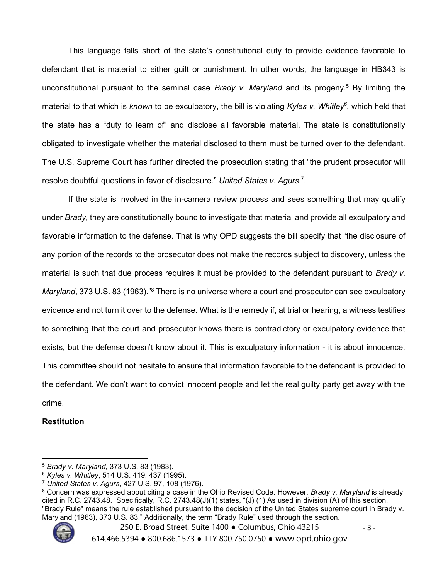This language falls short of the state's constitutional duty to provide evidence favorable to defendant that is material to either guilt or punishment. In other words, the language in HB343 is unconstitutional pursuant to the seminal case Brady v. Maryland and its progeny.<sup>5</sup> By limiting the material to that which is *known* to be exculpatory, the bill is violating Kyles v. Whitley<sup>6</sup>, which held that the state has a "duty to learn of" and disclose all favorable material. The state is constitutionally obligated to investigate whether the material disclosed to them must be turned over to the defendant. The U.S. Supreme Court has further directed the prosecution stating that "the prudent prosecutor will resolve doubtful questions in favor of disclosure." United States v. Agurs,<sup>7</sup>.

If the state is involved in the in-camera review process and sees something that may qualify under Brady, they are constitutionally bound to investigate that material and provide all exculpatory and favorable information to the defense. That is why OPD suggests the bill specify that "the disclosure of any portion of the records to the prosecutor does not make the records subject to discovery, unless the material is such that due process requires it must be provided to the defendant pursuant to Brady v. Maryland, 373 U.S. 83 (1963)."<sup>8</sup> There is no universe where a court and prosecutor can see exculpatory evidence and not turn it over to the defense. What is the remedy if, at trial or hearing, a witness testifies to something that the court and prosecutor knows there is contradictory or exculpatory evidence that exists, but the defense doesn't know about it. This is exculpatory information - it is about innocence. This committee should not hesitate to ensure that information favorable to the defendant is provided to the defendant. We don't want to convict innocent people and let the real guilty party get away with the crime.

### **Restitution**

 $^8$  Concern was expressed about citing a case in the Ohio Revised Code. However, *Brady v. Maryland* is already cited in R.C. 2743.48. Specifically, R.C. 2743.48(J)(1) states, "(J) (1) As used in division (A) of this section, "Brady Rule" means the rule established pursuant to the decision of the United States supreme court in Brady v. Maryland (1963), 373 U.S. 83." Additionally, the term "Brady Rule" used through the section.



250 E. Broad Street, Suite 1400 ● Columbus, Ohio 43215 - 3 -614.466.5394 ● 800.686.1573 ● TTY 800.750.0750 ● www.opd.ohio.gov

<sup>5</sup> Brady v. Maryland, 373 U.S. 83 (1983).

<sup>6</sup> Kyles v. Whitley, 514 U.S. 419, 437 (1995).

<sup>7</sup> United States v. Agurs, 427 U.S. 97, 108 (1976).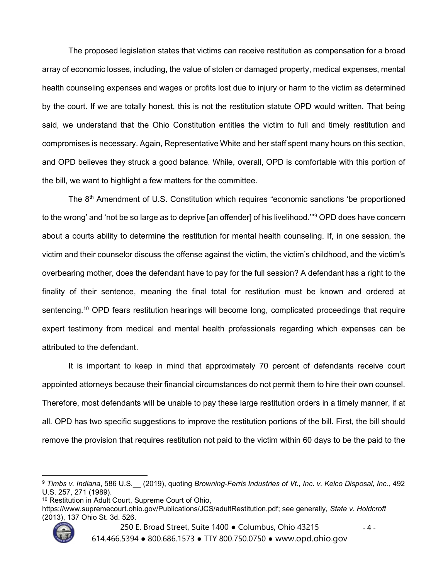The proposed legislation states that victims can receive restitution as compensation for a broad array of economic losses, including, the value of stolen or damaged property, medical expenses, mental health counseling expenses and wages or profits lost due to injury or harm to the victim as determined by the court. If we are totally honest, this is not the restitution statute OPD would written. That being said, we understand that the Ohio Constitution entitles the victim to full and timely restitution and compromises is necessary. Again, Representative White and her staff spent many hours on this section, and OPD believes they struck a good balance. While, overall, OPD is comfortable with this portion of the bill, we want to highlight a few matters for the committee.

The 8<sup>th</sup> Amendment of U.S. Constitution which requires "economic sanctions 'be proportioned to the wrong' and 'not be so large as to deprive [an offender] of his livelihood.'"<sup>9</sup> OPD does have concern about a courts ability to determine the restitution for mental health counseling. If, in one session, the victim and their counselor discuss the offense against the victim, the victim's childhood, and the victim's overbearing mother, does the defendant have to pay for the full session? A defendant has a right to the finality of their sentence, meaning the final total for restitution must be known and ordered at sentencing.<sup>10</sup> OPD fears restitution hearings will become long, complicated proceedings that require expert testimony from medical and mental health professionals regarding which expenses can be attributed to the defendant.

It is important to keep in mind that approximately 70 percent of defendants receive court appointed attorneys because their financial circumstances do not permit them to hire their own counsel. Therefore, most defendants will be unable to pay these large restitution orders in a timely manner, if at all. OPD has two specific suggestions to improve the restitution portions of the bill. First, the bill should remove the provision that requires restitution not paid to the victim within 60 days to be the paid to the

https://www.supremecourt.ohio.gov/Publications/JCS/adultRestitution.pdf; see generally, State v. Holdcroft (2013), 137 Ohio St. 3d. 526.



<sup>250</sup> E. Broad Street, Suite 1400 ● Columbus, Ohio 43215 - 4 -

614.466.5394 ● 800.686.1573 ● TTY 800.750.0750 ● www.opd.ohio.gov

<sup>9</sup> Timbs v. Indiana, 586 U.S. (2019), quoting Browning-Ferris Industries of Vt., Inc. v. Kelco Disposal, Inc., 492 U.S. 257, 271 (1989).

<sup>10</sup> Restitution in Adult Court, Supreme Court of Ohio,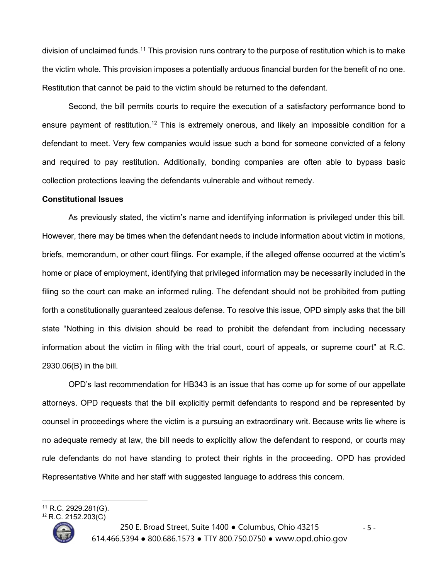division of unclaimed funds.<sup>11</sup> This provision runs contrary to the purpose of restitution which is to make the victim whole. This provision imposes a potentially arduous financial burden for the benefit of no one. Restitution that cannot be paid to the victim should be returned to the defendant.

Second, the bill permits courts to require the execution of a satisfactory performance bond to ensure payment of restitution.<sup>12</sup> This is extremely onerous, and likely an impossible condition for a defendant to meet. Very few companies would issue such a bond for someone convicted of a felony and required to pay restitution. Additionally, bonding companies are often able to bypass basic collection protections leaving the defendants vulnerable and without remedy.

#### Constitutional Issues

 As previously stated, the victim's name and identifying information is privileged under this bill. However, there may be times when the defendant needs to include information about victim in motions, briefs, memorandum, or other court filings. For example, if the alleged offense occurred at the victim's home or place of employment, identifying that privileged information may be necessarily included in the filing so the court can make an informed ruling. The defendant should not be prohibited from putting forth a constitutionally guaranteed zealous defense. To resolve this issue, OPD simply asks that the bill state "Nothing in this division should be read to prohibit the defendant from including necessary information about the victim in filing with the trial court, court of appeals, or supreme court" at R.C. 2930.06(B) in the bill.

 OPD's last recommendation for HB343 is an issue that has come up for some of our appellate attorneys. OPD requests that the bill explicitly permit defendants to respond and be represented by counsel in proceedings where the victim is a pursuing an extraordinary writ. Because writs lie where is no adequate remedy at law, the bill needs to explicitly allow the defendant to respond, or courts may rule defendants do not have standing to protect their rights in the proceeding. OPD has provided Representative White and her staff with suggested language to address this concern.

<sup>12</sup> R.C. 2152.203(C)



250 E. Broad Street, Suite 1400 ● Columbus, Ohio 43215 - 5 -614.466.5394 ● 800.686.1573 ● TTY 800.750.0750 ● www.opd.ohio.gov

<sup>11</sup> R.C. 2929.281(G).